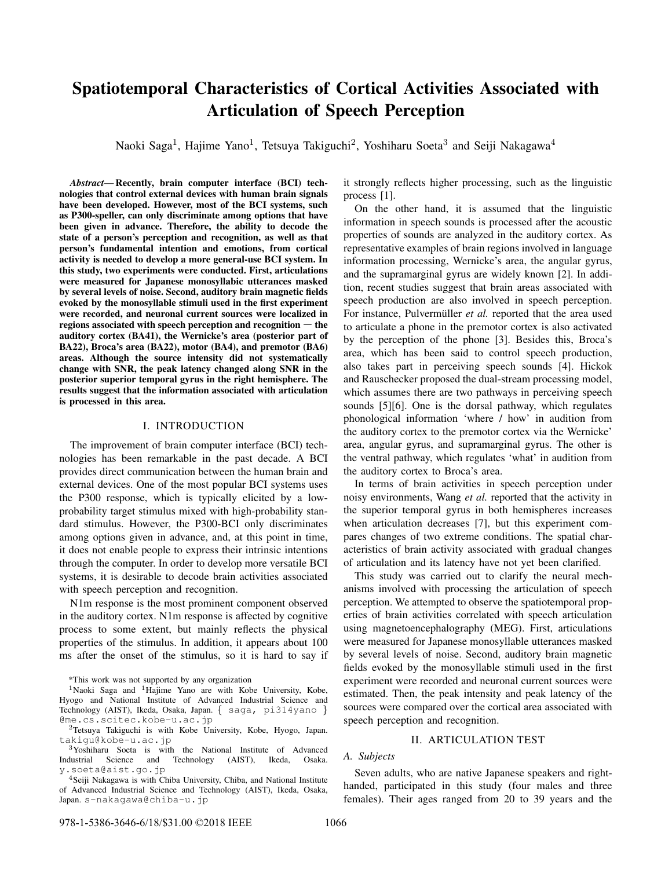# Spatiotemporal Characteristics of Cortical Activities Associated with Articulation of Speech Perception

Naoki Saga<sup>1</sup>, Hajime Yano<sup>1</sup>, Tetsuya Takiguchi<sup>2</sup>, Yoshiharu Soeta<sup>3</sup> and Seiji Nakagawa<sup>4</sup>

*Abstract*— Recently, brain computer interface (BCI) technologies that control external devices with human brain signals have been developed. However, most of the BCI systems, such as P300-speller, can only discriminate among options that have been given in advance. Therefore, the ability to decode the state of a person's perception and recognition, as well as that person's fundamental intention and emotions, from cortical activity is needed to develop a more general-use BCI system. In this study, two experiments were conducted. First, articulations were measured for Japanese monosyllabic utterances masked by several levels of noise. Second, auditory brain magnetic fields evoked by the monosyllable stimuli used in the first experiment were recorded, and neuronal current sources were localized in regions associated with speech perception and recognition ― the auditory cortex (BA41), the Wernicke's area (posterior part of BA22), Broca's area (BA22), motor (BA4), and premotor (BA6) areas. Although the source intensity did not systematically change with SNR, the peak latency changed along SNR in the posterior superior temporal gyrus in the right hemisphere. The results suggest that the information associated with articulation is processed in this area.

#### I. INTRODUCTION

The improvement of brain computer interface (BCI) technologies has been remarkable in the past decade. A BCI provides direct communication between the human brain and external devices. One of the most popular BCI systems uses the P300 response, which is typically elicited by a lowprobability target stimulus mixed with high-probability standard stimulus. However, the P300-BCI only discriminates among options given in advance, and, at this point in time, it does not enable people to express their intrinsic intentions through the computer. In order to develop more versatile BCI systems, it is desirable to decode brain activities associated with speech perception and recognition.

N1m response is the most prominent component observed in the auditory cortex. N1m response is affected by cognitive process to some extent, but mainly reflects the physical properties of the stimulus. In addition, it appears about 100 ms after the onset of the stimulus, so it is hard to say if

\*This work was not supported by any organization

<sup>1</sup>Naoki Saga and <sup>1</sup>Hajime Yano are with Kobe University, Kobe, Hyogo and National Institute of Advanced Industrial Science and Technology (AIST), Ikeda, Osaka, Japan. *{* saga, pi314yano *}* @me.cs.scitec.kobe-u.ac.jp

<sup>2</sup>Tetsuya Takiguchi is with Kobe University, Kobe, Hyogo, Japan. takigu@kobe-u.ac.jp

<sup>3</sup>Yoshiharu Soeta is with the National Institute of Advanced Industrial Science and Technology (AIST), Ikeda, Osaka. y.soeta@aist.go.jp

<sup>4</sup>Seiji Nakagawa is with Chiba University, Chiba, and National Institute of Advanced Industrial Science and Technology (AIST), Ikeda, Osaka, Japan. s-nakagawa@chiba-u.jp

it strongly reflects higher processing, such as the linguistic process [1].

On the other hand, it is assumed that the linguistic information in speech sounds is processed after the acoustic properties of sounds are analyzed in the auditory cortex. As representative examples of brain regions involved in language information processing, Wernicke's area, the angular gyrus, and the supramarginal gyrus are widely known [2]. In addition, recent studies suggest that brain areas associated with speech production are also involved in speech perception. For instance, Pulvermüller et al. reported that the area used to articulate a phone in the premotor cortex is also activated by the perception of the phone [3]. Besides this, Broca's area, which has been said to control speech production, also takes part in perceiving speech sounds [4]. Hickok and Rauschecker proposed the dual-stream processing model, which assumes there are two pathways in perceiving speech sounds [5][6]. One is the dorsal pathway, which regulates phonological information 'where / how' in audition from the auditory cortex to the premotor cortex via the Wernicke' area, angular gyrus, and supramarginal gyrus. The other is the ventral pathway, which regulates 'what' in audition from the auditory cortex to Broca's area.

In terms of brain activities in speech perception under noisy environments, Wang *et al.* reported that the activity in the superior temporal gyrus in both hemispheres increases when articulation decreases [7], but this experiment compares changes of two extreme conditions. The spatial characteristics of brain activity associated with gradual changes of articulation and its latency have not yet been clarified.

This study was carried out to clarify the neural mechanisms involved with processing the articulation of speech perception. We attempted to observe the spatiotemporal properties of brain activities correlated with speech articulation using magnetoencephalography (MEG). First, articulations were measured for Japanese monosyllable utterances masked by several levels of noise. Second, auditory brain magnetic fields evoked by the monosyllable stimuli used in the first experiment were recorded and neuronal current sources were estimated. Then, the peak intensity and peak latency of the sources were compared over the cortical area associated with speech perception and recognition.

### II. ARTICULATION TEST

#### *A. Subjects*

Seven adults, who are native Japanese speakers and righthanded, participated in this study (four males and three females). Their ages ranged from 20 to 39 years and the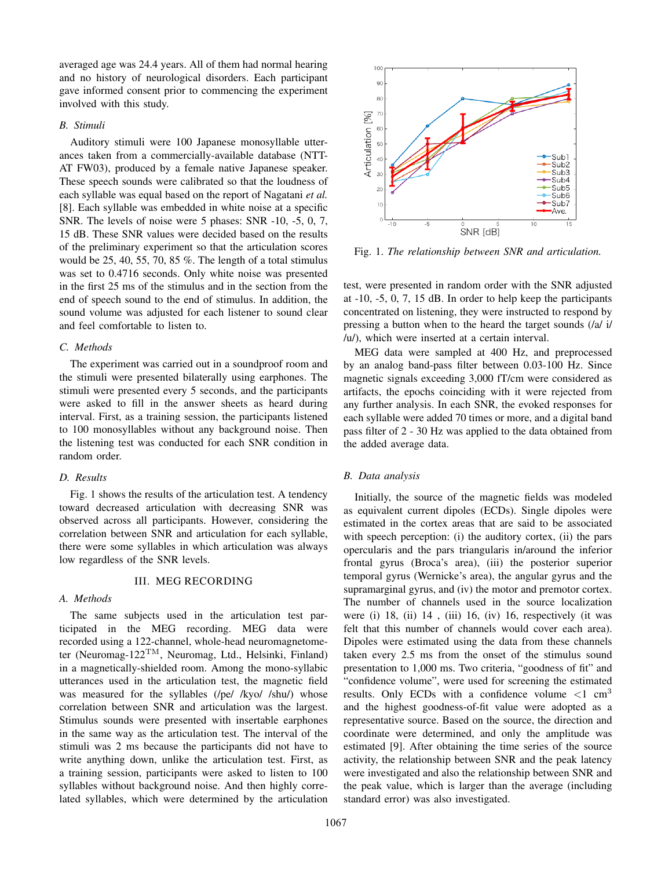averaged age was 24.4 years. All of them had normal hearing and no history of neurological disorders. Each participant gave informed consent prior to commencing the experiment involved with this study.

## *B. Stimuli*

Auditory stimuli were 100 Japanese monosyllable utterances taken from a commercially-available database (NTT-AT FW03), produced by a female native Japanese speaker. These speech sounds were calibrated so that the loudness of each syllable was equal based on the report of Nagatani *et al.* [8]. Each syllable was embedded in white noise at a specific SNR. The levels of noise were 5 phases: SNR -10, -5, 0, 7, 15 dB. These SNR values were decided based on the results of the preliminary experiment so that the articulation scores would be 25, 40, 55, 70, 85 %. The length of a total stimulus was set to 0.4716 seconds. Only white noise was presented in the first 25 ms of the stimulus and in the section from the end of speech sound to the end of stimulus. In addition, the sound volume was adjusted for each listener to sound clear and feel comfortable to listen to.

#### *C. Methods*

The experiment was carried out in a soundproof room and the stimuli were presented bilaterally using earphones. The stimuli were presented every 5 seconds, and the participants were asked to fill in the answer sheets as heard during interval. First, as a training session, the participants listened to 100 monosyllables without any background noise. Then the listening test was conducted for each SNR condition in random order.

#### *D. Results*

Fig. 1 shows the results of the articulation test. A tendency toward decreased articulation with decreasing SNR was observed across all participants. However, considering the correlation between SNR and articulation for each syllable, there were some syllables in which articulation was always low regardless of the SNR levels.

#### III. MEG RECORDING

## *A. Methods*

The same subjects used in the articulation test participated in the MEG recording. MEG data were recorded using a 122-channel, whole-head neuromagnetometer (Neuromag-122TM, Neuromag, Ltd., Helsinki, Finland) in a magnetically-shielded room. Among the mono-syllabic utterances used in the articulation test, the magnetic field was measured for the syllables (/pe/ /kyo/ /shu/) whose correlation between SNR and articulation was the largest. Stimulus sounds were presented with insertable earphones in the same way as the articulation test. The interval of the stimuli was 2 ms because the participants did not have to write anything down, unlike the articulation test. First, as a training session, participants were asked to listen to 100 syllables without background noise. And then highly correlated syllables, which were determined by the articulation



Fig. 1. *The relationship between SNR and articulation.*

test, were presented in random order with the SNR adjusted at -10, -5, 0, 7, 15 dB. In order to help keep the participants concentrated on listening, they were instructed to respond by pressing a button when to the heard the target sounds (/a/ i/ /u/), which were inserted at a certain interval.

MEG data were sampled at 400 Hz, and preprocessed by an analog band-pass filter between 0.03-100 Hz. Since magnetic signals exceeding 3,000 fT/cm were considered as artifacts, the epochs coinciding with it were rejected from any further analysis. In each SNR, the evoked responses for each syllable were added 70 times or more, and a digital band pass filter of 2 - 30 Hz was applied to the data obtained from the added average data.

## *B. Data analysis*

Initially, the source of the magnetic fields was modeled as equivalent current dipoles (ECDs). Single dipoles were estimated in the cortex areas that are said to be associated with speech perception: (i) the auditory cortex, (ii) the pars opercularis and the pars triangularis in/around the inferior frontal gyrus (Broca's area), (iii) the posterior superior temporal gyrus (Wernicke's area), the angular gyrus and the supramarginal gyrus, and (iv) the motor and premotor cortex. The number of channels used in the source localization were (i) 18, (ii) 14 , (iii) 16, (iv) 16, respectively (it was felt that this number of channels would cover each area). Dipoles were estimated using the data from these channels taken every 2.5 ms from the onset of the stimulus sound presentation to 1,000 ms. Two criteria, "goodness of fit" and "confidence volume", were used for screening the estimated results. Only ECDs with a confidence volume *<*1 cm<sup>3</sup> and the highest goodness-of-fit value were adopted as a representative source. Based on the source, the direction and coordinate were determined, and only the amplitude was estimated [9]. After obtaining the time series of the source activity, the relationship between SNR and the peak latency were investigated and also the relationship between SNR and the peak value, which is larger than the average (including standard error) was also investigated.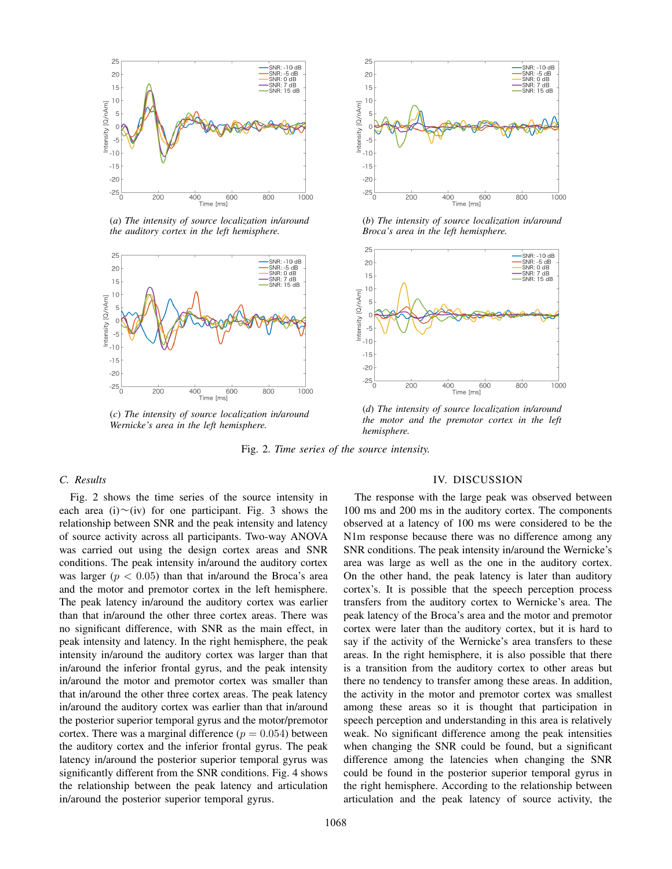

(*a*) *The intensity of source localization in/around the auditory cortex in the left hemisphere.*



(*c*) *The intensity of source localization in/around Wernicke's area in the left hemisphere.*



(*b*) *The intensity of source localization in/around Broca's area in the left hemisphere.*



(*d*) *The intensity of source localization in/around the motor and the premotor cortex in the left hemisphere.*

Fig. 2. *Time series of the source intensity.*

## *C. Results*

Fig. 2 shows the time series of the source intensity in each area (i) $\sim$ (iv) for one participant. Fig. 3 shows the relationship between SNR and the peak intensity and latency of source activity across all participants. Two-way ANOVA was carried out using the design cortex areas and SNR conditions. The peak intensity in/around the auditory cortex was larger ( $p < 0.05$ ) than that in/around the Broca's area and the motor and premotor cortex in the left hemisphere. The peak latency in/around the auditory cortex was earlier than that in/around the other three cortex areas. There was no significant difference, with SNR as the main effect, in peak intensity and latency. In the right hemisphere, the peak intensity in/around the auditory cortex was larger than that in/around the inferior frontal gyrus, and the peak intensity in/around the motor and premotor cortex was smaller than that in/around the other three cortex areas. The peak latency in/around the auditory cortex was earlier than that in/around the posterior superior temporal gyrus and the motor/premotor cortex. There was a marginal difference  $(p = 0.054)$  between the auditory cortex and the inferior frontal gyrus. The peak latency in/around the posterior superior temporal gyrus was significantly different from the SNR conditions. Fig. 4 shows the relationship between the peak latency and articulation in/around the posterior superior temporal gyrus.

#### IV. DISCUSSION

The response with the large peak was observed between 100 ms and 200 ms in the auditory cortex. The components observed at a latency of 100 ms were considered to be the N1m response because there was no difference among any SNR conditions. The peak intensity in/around the Wernicke's area was large as well as the one in the auditory cortex. On the other hand, the peak latency is later than auditory cortex's. It is possible that the speech perception process transfers from the auditory cortex to Wernicke's area. The peak latency of the Broca's area and the motor and premotor cortex were later than the auditory cortex, but it is hard to say if the activity of the Wernicke's area transfers to these areas. In the right hemisphere, it is also possible that there is a transition from the auditory cortex to other areas but there no tendency to transfer among these areas. In addition, the activity in the motor and premotor cortex was smallest among these areas so it is thought that participation in speech perception and understanding in this area is relatively weak. No significant difference among the peak intensities when changing the SNR could be found, but a significant difference among the latencies when changing the SNR could be found in the posterior superior temporal gyrus in the right hemisphere. According to the relationship between articulation and the peak latency of source activity, the